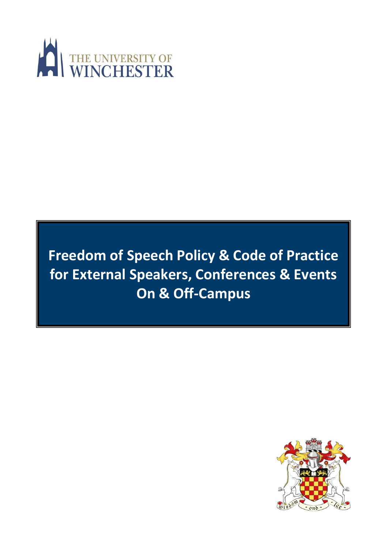

# **Freedom of Speech Policy & Code of Practice for External Speakers, Conferences & Events On & Off-Campus**

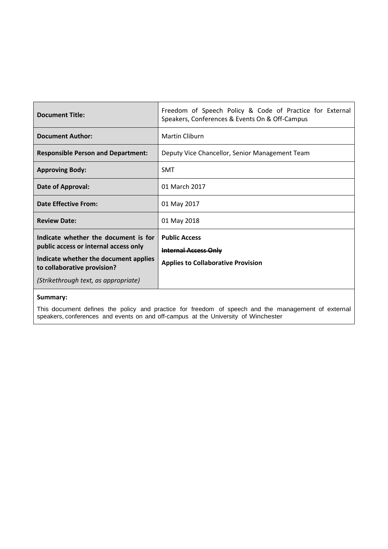| <b>Document Title:</b>                                                                                                                                                                        | Freedom of Speech Policy & Code of Practice for External<br>Speakers, Conferences & Events On & Off-Campus |
|-----------------------------------------------------------------------------------------------------------------------------------------------------------------------------------------------|------------------------------------------------------------------------------------------------------------|
| <b>Document Author:</b>                                                                                                                                                                       | Martin Cliburn                                                                                             |
| <b>Responsible Person and Department:</b>                                                                                                                                                     | Deputy Vice Chancellor, Senior Management Team                                                             |
| <b>Approving Body:</b>                                                                                                                                                                        | <b>SMT</b>                                                                                                 |
| Date of Approval:                                                                                                                                                                             | 01 March 2017                                                                                              |
| <b>Date Effective From:</b>                                                                                                                                                                   | 01 May 2017                                                                                                |
| <b>Review Date:</b>                                                                                                                                                                           | 01 May 2018                                                                                                |
| Indicate whether the document is for<br>public access or internal access only<br>Indicate whether the document applies<br>to collaborative provision?<br>(Strikethrough text, as appropriate) | <b>Public Access</b><br><b>Internal Access Only</b><br><b>Applies to Collaborative Provision</b>           |
| $C_{11}$ and $C_{21}$                                                                                                                                                                         |                                                                                                            |

#### **Summary:**

This document defines the policy and practice for freedom of speech and the management of external speakers, conferences and events on and off-campus at the University of Winchester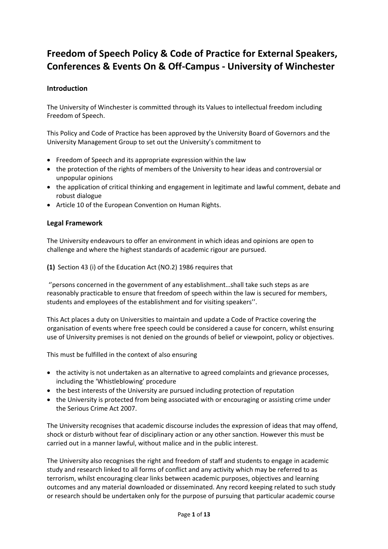# **Freedom of Speech Policy & Code of Practice for External Speakers, Conferences & Events On & Off-Campus - University of Winchester**

# **Introduction**

The University of Winchester is committed through its Values to intellectual freedom including Freedom of Speech.

This Policy and Code of Practice has been approved by the University Board of Governors and the University Management Group to set out the University's commitment to

- Freedom of Speech and its appropriate expression within the law
- the protection of the rights of members of the University to hear ideas and controversial or unpopular opinions
- the application of critical thinking and engagement in legitimate and lawful comment, debate and robust dialogue
- Article 10 of the European Convention on Human Rights.

## **Legal Framework**

The University endeavours to offer an environment in which ideas and opinions are open to challenge and where the highest standards of academic rigour are pursued.

**(1)** Section 43 (i) of the Education Act (NO.2) 1986 requires that

''persons concerned in the government of any establishment…shall take such steps as are reasonably practicable to ensure that freedom of speech within the law is secured for members, students and employees of the establishment and for visiting speakers''.

This Act places a duty on Universities to maintain and update a Code of Practice covering the organisation of events where free speech could be considered a cause for concern, whilst ensuring use of University premises is not denied on the grounds of belief or viewpoint, policy or objectives.

This must be fulfilled in the context of also ensuring

- the activity is not undertaken as an alternative to agreed complaints and grievance processes, including the 'Whistleblowing' procedure
- the best interests of the University are pursued including protection of reputation
- the University is protected from being associated with or encouraging or assisting crime under the Serious Crime Act 2007.

The University recognises that academic discourse includes the expression of ideas that may offend, shock or disturb without fear of disciplinary action or any other sanction. However this must be carried out in a manner lawful, without malice and in the public interest.

The University also recognises the right and freedom of staff and students to engage in academic study and research linked to all forms of conflict and any activity which may be referred to as terrorism, whilst encouraging clear links between academic purposes, objectives and learning outcomes and any material downloaded or disseminated. Any record keeping related to such study or research should be undertaken only for the purpose of pursuing that particular academic course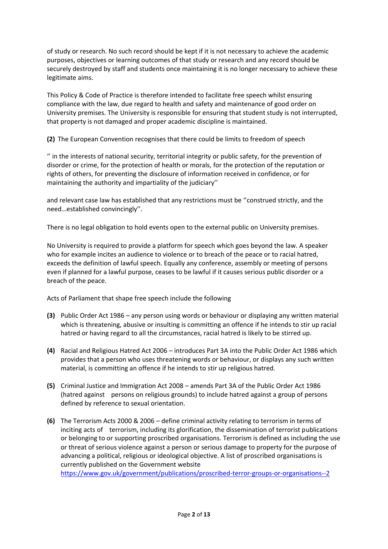of study or research. No such record should be kept if it is not necessary to achieve the academic purposes, objectives or learning outcomes of that study or research and any record should be securely destroyed by staff and students once maintaining it is no longer necessary to achieve these legitimate aims.

This Policy & Code of Practice is therefore intended to facilitate free speech whilst ensuring compliance with the law, due regard to health and safety and maintenance of good order on University premises. The University is responsible for ensuring that student study is not interrupted, that property is not damaged and proper academic discipline is maintained.

**(2)** The European Convention recognises that there could be limits to freedom of speech

'' in the interests of national security, territorial integrity or public safety, for the prevention of disorder or crime, for the protection of health or morals, for the protection of the reputation or rights of others, for preventing the disclosure of information received in confidence, or for maintaining the authority and impartiality of the judiciary''

and relevant case law has established that any restrictions must be ''construed strictly, and the need…established convincingly''.

There is no legal obligation to hold events open to the external public on University premises.

No University is required to provide a platform for speech which goes beyond the law. A speaker who for example incites an audience to violence or to breach of the peace or to racial hatred, exceeds the definition of lawful speech. Equally any conference, assembly or meeting of persons even if planned for a lawful purpose, ceases to be lawful if it causes serious public disorder or a breach of the peace.

Acts of Parliament that shape free speech include the following

- **(3)** Public Order Act 1986 any person using words or behaviour or displaying any written material which is threatening, abusive or insulting is committing an offence if he intends to stir up racial hatred or having regard to all the circumstances, racial hatred is likely to be stirred up.
- **(4)** Racial and Religious Hatred Act 2006 introduces Part 3A into the Public Order Act 1986 which provides that a person who uses threatening words or behaviour, or displays any such written material, is committing an offence if he intends to stir up religious hatred.
- **(5)** Criminal Justice and Immigration Act 2008 amends Part 3A of the Public Order Act 1986 (hatred against persons on religious grounds) to include hatred against a group of persons defined by reference to sexual orientation.
- **(6)** The Terrorism Acts 2000 & 2006 define criminal activity relating to terrorism in terms of inciting acts of terrorism, including its glorification, the dissemination of terrorist publications or belonging to or supporting proscribed organisations. Terrorism is defined as including the use or threat of serious violence against a person or serious damage to property for the purpose of advancing a political, religious or ideological objective. A list of proscribed organisations is currently published on the Government website

<https://www.gov.uk/government/publications/proscribed-terror-groups-or-organisations--2>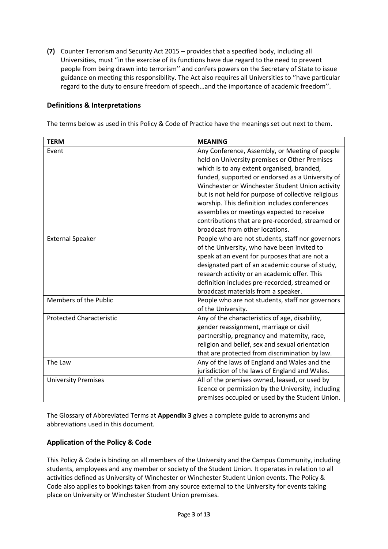**(7)** Counter Terrorism and Security Act 2015 – provides that a specified body, including all Universities, must ''in the exercise of its functions have due regard to the need to prevent people from being drawn into terrorism'' and confers powers on the Secretary of State to issue guidance on meeting this responsibility. The Act also requires all Universities to ''have particular regard to the duty to ensure freedom of speech…and the importance of academic freedom''.

## **Definitions & Interpretations**

The terms below as used in this Policy & Code of Practice have the meanings set out next to them.

| <b>TERM</b>                     | <b>MEANING</b>                                      |  |
|---------------------------------|-----------------------------------------------------|--|
| Event                           | Any Conference, Assembly, or Meeting of people      |  |
|                                 | held on University premises or Other Premises       |  |
|                                 | which is to any extent organised, branded,          |  |
|                                 | funded, supported or endorsed as a University of    |  |
|                                 | Winchester or Winchester Student Union activity     |  |
|                                 | but is not held for purpose of collective religious |  |
|                                 | worship. This definition includes conferences       |  |
|                                 | assemblies or meetings expected to receive          |  |
|                                 | contributions that are pre-recorded, streamed or    |  |
|                                 | broadcast from other locations.                     |  |
| <b>External Speaker</b>         | People who are not students, staff nor governors    |  |
|                                 | of the University, who have been invited to         |  |
|                                 | speak at an event for purposes that are not a       |  |
|                                 | designated part of an academic course of study,     |  |
|                                 | research activity or an academic offer. This        |  |
|                                 | definition includes pre-recorded, streamed or       |  |
|                                 | broadcast materials from a speaker.                 |  |
| Members of the Public           | People who are not students, staff nor governors    |  |
|                                 | of the University.                                  |  |
| <b>Protected Characteristic</b> | Any of the characteristics of age, disability,      |  |
|                                 | gender reassignment, marriage or civil              |  |
|                                 | partnership, pregnancy and maternity, race,         |  |
|                                 | religion and belief, sex and sexual orientation     |  |
|                                 | that are protected from discrimination by law.      |  |
| The Law                         | Any of the laws of England and Wales and the        |  |
|                                 | jurisdiction of the laws of England and Wales.      |  |
| <b>University Premises</b>      | All of the premises owned, leased, or used by       |  |
|                                 | licence or permission by the University, including  |  |
|                                 | premises occupied or used by the Student Union.     |  |

The Glossary of Abbreviated Terms at **Appendix 3** gives a complete guide to acronyms and abbreviations used in this document.

## **Application of the Policy & Code**

This Policy & Code is binding on all members of the University and the Campus Community, including students, employees and any member or society of the Student Union. It operates in relation to all activities defined as University of Winchester or Winchester Student Union events. The Policy & Code also applies to bookings taken from any source external to the University for events taking place on University or Winchester Student Union premises.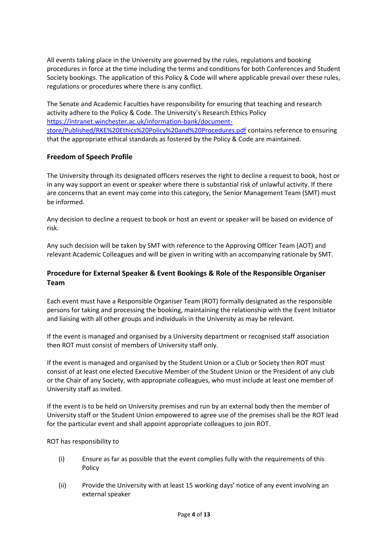All events taking place in the University are governed by the rules, regulations and booking procedures in force at the time including the terms and conditions for both Conferences and Student Society bookings. The application of this Policy & Code will where applicable prevail over these rules, regulations or procedures where there is any conflict.

The Senate and Academic Faculties have responsibility for ensuring that teaching and research activity adhere to the Policy & Code. The University's Research Ethics Policy [https://intranet.winchester.ac.uk/information-bank/document](https://intranet.winchester.ac.uk/information-bank/document-store/Published/RKE%20Ethics%20Policy%20and%20Procedures.pdf)[store/Published/RKE%20Ethics%20Policy%20and%20Procedures.pdf](https://intranet.winchester.ac.uk/information-bank/document-store/Published/RKE%20Ethics%20Policy%20and%20Procedures.pdf) contains reference to ensuring that the appropriate ethical standards as fostered by the Policy & Code are maintained.

# **Freedom of Speech Profile**

The University through its designated officers reserves the right to decline a request to book, host or in any way support an event or speaker where there is substantial risk of unlawful activity. If there are concerns that an event may come into this category, the Senior Management Team (SMT) must be informed.

Any decision to decline a request to book or host an event or speaker will be based on evidence of risk.

Any such decision will be taken by SMT with reference to the Approving Officer Team (AOT) and relevant Academic Colleagues and will be given in writing with an accompanying rationale by SMT.

# **Procedure for External Speaker & Event Bookings & Role of the Responsible Organiser Team**

Each event must have a Responsible Organiser Team (ROT) formally designated as the responsible persons for taking and processing the booking, maintaining the relationship with the Event Initiator and liaising with all other groups and individuals in the University as may be relevant.

If the event is managed and organised by a University department or recognised staff association then ROT must consist of members of University staff only.

If the event is managed and organised by the Student Union or a Club or Society then ROT must consist of at least one elected Executive Member of the Student Union or the President of any club or the Chair of any Society, with appropriate colleagues, who must include at least one member of University staff as invited.

If the event is to be held on University premises and run by an external body then the member of University staff or the Student Union empowered to agree use of the premises shall be the ROT lead for the particular event and shall appoint appropriate colleagues to join ROT.

#### ROT has responsibility to

- (i) Ensure as far as possible that the event complies fully with the requirements of this Policy
- (ii) Provide the University with at least 15 working days' notice of any event involving an external speaker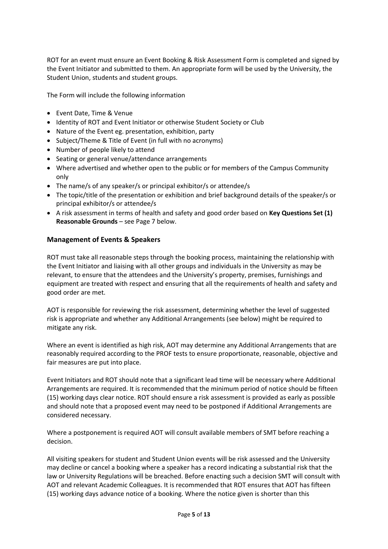ROT for an event must ensure an Event Booking & Risk Assessment Form is completed and signed by the Event Initiator and submitted to them. An appropriate form will be used by the University, the Student Union, students and student groups.

The Form will include the following information

- Event Date, Time & Venue
- Identity of ROT and Event Initiator or otherwise Student Society or Club
- Nature of the Event eg. presentation, exhibition, party
- Subject/Theme & Title of Event (in full with no acronyms)
- Number of people likely to attend
- Seating or general venue/attendance arrangements
- Where advertised and whether open to the public or for members of the Campus Community only
- The name/s of any speaker/s or principal exhibitor/s or attendee/s
- The topic/title of the presentation or exhibition and brief background details of the speaker/s or principal exhibitor/s or attendee/s
- A risk assessment in terms of health and safety and good order based on **Key Questions Set (1) Reasonable Grounds** – see Page 7 below.

#### **Management of Events & Speakers**

ROT must take all reasonable steps through the booking process, maintaining the relationship with the Event Initiator and liaising with all other groups and individuals in the University as may be relevant, to ensure that the attendees and the University's property, premises, furnishings and equipment are treated with respect and ensuring that all the requirements of health and safety and good order are met.

AOT is responsible for reviewing the risk assessment, determining whether the level of suggested risk is appropriate and whether any Additional Arrangements (see below) might be required to mitigate any risk.

Where an event is identified as high risk, AOT may determine any Additional Arrangements that are reasonably required according to the PROF tests to ensure proportionate, reasonable, objective and fair measures are put into place.

Event Initiators and ROT should note that a significant lead time will be necessary where Additional Arrangements are required. It is recommended that the minimum period of notice should be fifteen (15) working days clear notice. ROT should ensure a risk assessment is provided as early as possible and should note that a proposed event may need to be postponed if Additional Arrangements are considered necessary.

Where a postponement is required AOT will consult available members of SMT before reaching a decision.

All visiting speakers for student and Student Union events will be risk assessed and the University may decline or cancel a booking where a speaker has a record indicating a substantial risk that the law or University Regulations will be breached. Before enacting such a decision SMT will consult with AOT and relevant Academic Colleagues. It is recommended that ROT ensures that AOT has fifteen (15) working days advance notice of a booking. Where the notice given is shorter than this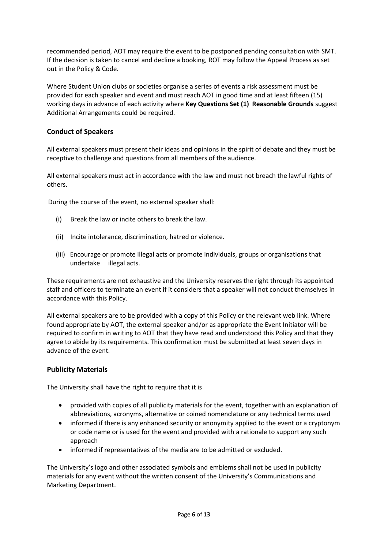recommended period, AOT may require the event to be postponed pending consultation with SMT. If the decision is taken to cancel and decline a booking, ROT may follow the Appeal Process as set out in the Policy & Code.

Where Student Union clubs or societies organise a series of events a risk assessment must be provided for each speaker and event and must reach AOT in good time and at least fifteen (15) working days in advance of each activity where **Key Questions Set (1) Reasonable Grounds** suggest Additional Arrangements could be required.

# **Conduct of Speakers**

All external speakers must present their ideas and opinions in the spirit of debate and they must be receptive to challenge and questions from all members of the audience.

All external speakers must act in accordance with the law and must not breach the lawful rights of others.

During the course of the event, no external speaker shall:

- (i) Break the law or incite others to break the law.
- (ii) Incite intolerance, discrimination, hatred or violence.
- (iii) Encourage or promote illegal acts or promote individuals, groups or organisations that undertake illegal acts.

These requirements are not exhaustive and the University reserves the right through its appointed staff and officers to terminate an event if it considers that a speaker will not conduct themselves in accordance with this Policy.

All external speakers are to be provided with a copy of this Policy or the relevant web link. Where found appropriate by AOT, the external speaker and/or as appropriate the Event Initiator will be required to confirm in writing to AOT that they have read and understood this Policy and that they agree to abide by its requirements. This confirmation must be submitted at least seven days in advance of the event.

## **Publicity Materials**

The University shall have the right to require that it is

- provided with copies of all publicity materials for the event, together with an explanation of abbreviations, acronyms, alternative or coined nomenclature or any technical terms used
- informed if there is any enhanced security or anonymity applied to the event or a cryptonym or code name or is used for the event and provided with a rationale to support any such approach
- informed if representatives of the media are to be admitted or excluded.

The University's logo and other associated symbols and emblems shall not be used in publicity materials for any event without the written consent of the University's Communications and Marketing Department.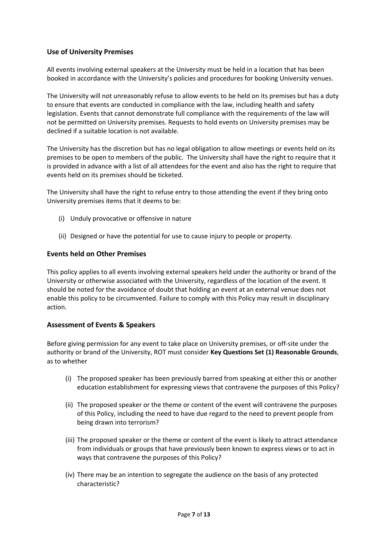## **Use of University Premises**

All events involving external speakers at the University must be held in a location that has been booked in accordance with the University's policies and procedures for booking University venues.

The University will not unreasonably refuse to allow events to be held on its premises but has a duty to ensure that events are conducted in compliance with the law, including health and safety legislation. Events that cannot demonstrate full compliance with the requirements of the law will not be permitted on University premises. Requests to hold events on University premises may be declined if a suitable location is not available.

The University has the discretion but has no legal obligation to allow meetings or events held on its premises to be open to members of the public. The University shall have the right to require that it is provided in advance with a list of all attendees for the event and also has the right to require that events held on its premises should be ticketed.

The University shall have the right to refuse entry to those attending the event if they bring onto University premises items that it deems to be:

- (i) Unduly provocative or offensive in nature
- (ii) Designed or have the potential for use to cause injury to people or property.

#### **Events held on Other Premises**

This policy applies to all events involving external speakers held under the authority or brand of the University or otherwise associated with the University, regardless of the location of the event. It should be noted for the avoidance of doubt that holding an event at an external venue does not enable this policy to be circumvented. Failure to comply with this Policy may result in disciplinary action.

## **Assessment of Events & Speakers**

Before giving permission for any event to take place on University premises, or off-site under the authority or brand of the University, ROT must consider **Key Questions Set (1) Reasonable Grounds**, as to whether

- (i) The proposed speaker has been previously barred from speaking at either this or another education establishment for expressing views that contravene the purposes of this Policy?
- (ii) The proposed speaker or the theme or content of the event will contravene the purposes of this Policy, including the need to have due regard to the need to prevent people from being drawn into terrorism?
- (iii) The proposed speaker or the theme or content of the event is likely to attract attendance from individuals or groups that have previously been known to express views or to act in ways that contravene the purposes of this Policy?
- (iv) There may be an intention to segregate the audience on the basis of any protected characteristic?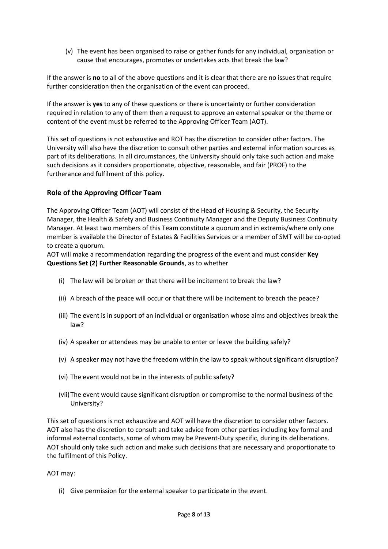(v) The event has been organised to raise or gather funds for any individual, organisation or cause that encourages, promotes or undertakes acts that break the law?

If the answer is **no** to all of the above questions and it is clear that there are no issues that require further consideration then the organisation of the event can proceed.

If the answer is **yes** to any of these questions or there is uncertainty or further consideration required in relation to any of them then a request to approve an external speaker or the theme or content of the event must be referred to the Approving Officer Team (AOT).

This set of questions is not exhaustive and ROT has the discretion to consider other factors. The University will also have the discretion to consult other parties and external information sources as part of its deliberations. In all circumstances, the University should only take such action and make such decisions as it considers proportionate, objective, reasonable, and fair (PROF) to the furtherance and fulfilment of this policy.

# **Role of the Approving Officer Team**

The Approving Officer Team (AOT) will consist of the Head of Housing & Security, the Security Manager, the Health & Safety and Business Continuity Manager and the Deputy Business Continuity Manager. At least two members of this Team constitute a quorum and in extremis/where only one member is available the Director of Estates & Facilities Services or a member of SMT will be co-opted to create a quorum.

AOT will make a recommendation regarding the progress of the event and must consider **Key Questions Set (2) Further Reasonable Grounds**, as to whether

- (i) The law will be broken or that there will be incitement to break the law?
- (ii) A breach of the peace will occur or that there will be incitement to breach the peace?
- (iii) The event is in support of an individual or organisation whose aims and objectives break the law?
- (iv) A speaker or attendees may be unable to enter or leave the building safely?
- (v) A speaker may not have the freedom within the law to speak without significant disruption?
- (vi) The event would not be in the interests of public safety?
- (vii)The event would cause significant disruption or compromise to the normal business of the University?

This set of questions is not exhaustive and AOT will have the discretion to consider other factors. AOT also has the discretion to consult and take advice from other parties including key formal and informal external contacts, some of whom may be Prevent-Duty specific, during its deliberations. AOT should only take such action and make such decisions that are necessary and proportionate to the fulfilment of this Policy.

#### AOT may:

(i) Give permission for the external speaker to participate in the event.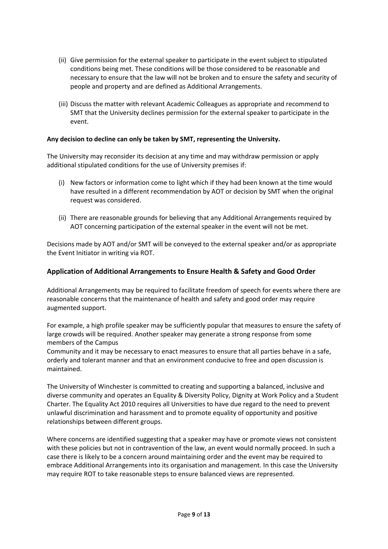- (ii) Give permission for the external speaker to participate in the event subject to stipulated conditions being met. These conditions will be those considered to be reasonable and necessary to ensure that the law will not be broken and to ensure the safety and security of people and property and are defined as Additional Arrangements.
- (iii) Discuss the matter with relevant Academic Colleagues as appropriate and recommend to SMT that the University declines permission for the external speaker to participate in the event.

### **Any decision to decline can only be taken by SMT, representing the University.**

The University may reconsider its decision at any time and may withdraw permission or apply additional stipulated conditions for the use of University premises if:

- (i) New factors or information come to light which if they had been known at the time would have resulted in a different recommendation by AOT or decision by SMT when the original request was considered.
- (ii) There are reasonable grounds for believing that any Additional Arrangements required by AOT concerning participation of the external speaker in the event will not be met.

Decisions made by AOT and/or SMT will be conveyed to the external speaker and/or as appropriate the Event Initiator in writing via ROT.

#### **Application of Additional Arrangements to Ensure Health & Safety and Good Order**

Additional Arrangements may be required to facilitate freedom of speech for events where there are reasonable concerns that the maintenance of health and safety and good order may require augmented support.

For example, a high profile speaker may be sufficiently popular that measures to ensure the safety of large crowds will be required. Another speaker may generate a strong response from some members of the Campus

Community and it may be necessary to enact measures to ensure that all parties behave in a safe, orderly and tolerant manner and that an environment conducive to free and open discussion is maintained.

The University of Winchester is committed to creating and supporting a balanced, inclusive and diverse community and operates an Equality & Diversity Policy, Dignity at Work Policy and a Student Charter. The Equality Act 2010 requires all Universities to have due regard to the need to prevent unlawful discrimination and harassment and to promote equality of opportunity and positive relationships between different groups.

Where concerns are identified suggesting that a speaker may have or promote views not consistent with these policies but not in contravention of the law, an event would normally proceed. In such a case there is likely to be a concern around maintaining order and the event may be required to embrace Additional Arrangements into its organisation and management. In this case the University may require ROT to take reasonable steps to ensure balanced views are represented.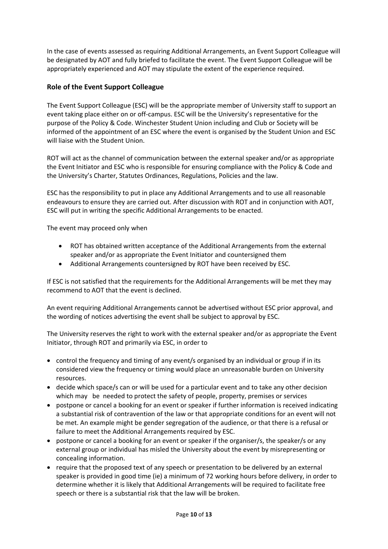In the case of events assessed as requiring Additional Arrangements, an Event Support Colleague will be designated by AOT and fully briefed to facilitate the event. The Event Support Colleague will be appropriately experienced and AOT may stipulate the extent of the experience required.

# **Role of the Event Support Colleague**

The Event Support Colleague (ESC) will be the appropriate member of University staff to support an event taking place either on or off-campus. ESC will be the University's representative for the purpose of the Policy & Code. Winchester Student Union including and Club or Society will be informed of the appointment of an ESC where the event is organised by the Student Union and ESC will liaise with the Student Union.

ROT will act as the channel of communication between the external speaker and/or as appropriate the Event Initiator and ESC who is responsible for ensuring compliance with the Policy & Code and the University's Charter, Statutes Ordinances, Regulations, Policies and the law.

ESC has the responsibility to put in place any Additional Arrangements and to use all reasonable endeavours to ensure they are carried out. After discussion with ROT and in conjunction with AOT, ESC will put in writing the specific Additional Arrangements to be enacted.

The event may proceed only when

- ROT has obtained written acceptance of the Additional Arrangements from the external speaker and/or as appropriate the Event Initiator and countersigned them
- Additional Arrangements countersigned by ROT have been received by ESC.

If ESC is not satisfied that the requirements for the Additional Arrangements will be met they may recommend to AOT that the event is declined.

An event requiring Additional Arrangements cannot be advertised without ESC prior approval, and the wording of notices advertising the event shall be subject to approval by ESC.

The University reserves the right to work with the external speaker and/or as appropriate the Event Initiator, through ROT and primarily via ESC, in order to

- control the frequency and timing of any event/s organised by an individual or group if in its considered view the frequency or timing would place an unreasonable burden on University resources.
- decide which space/s can or will be used for a particular event and to take any other decision which may be needed to protect the safety of people, property, premises or services
- postpone or cancel a booking for an event or speaker if further information is received indicating a substantial risk of contravention of the law or that appropriate conditions for an event will not be met. An example might be gender segregation of the audience, or that there is a refusal or failure to meet the Additional Arrangements required by ESC.
- postpone or cancel a booking for an event or speaker if the organiser/s, the speaker/s or any external group or individual has misled the University about the event by misrepresenting or concealing information.
- require that the proposed text of any speech or presentation to be delivered by an external speaker is provided in good time (ie) a minimum of 72 working hours before delivery, in order to determine whether it is likely that Additional Arrangements will be required to facilitate free speech or there is a substantial risk that the law will be broken.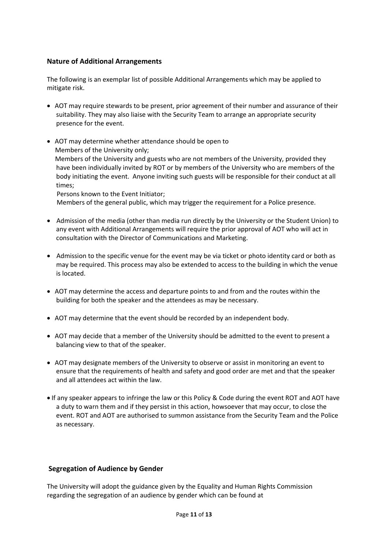## **Nature of Additional Arrangements**

The following is an exemplar list of possible Additional Arrangements which may be applied to mitigate risk.

- AOT may require stewards to be present, prior agreement of their number and assurance of their suitability. They may also liaise with the Security Team to arrange an appropriate security presence for the event.
- AOT may determine whether attendance should be open to Members of the University only; Members of the University and guests who are not members of the University, provided they have been individually invited by ROT or by members of the University who are members of the body initiating the event. Anyone inviting such guests will be responsible for their conduct at all times;

Persons known to the Event Initiator;

Members of the general public, which may trigger the requirement for a Police presence.

- Admission of the media (other than media run directly by the University or the Student Union) to any event with Additional Arrangements will require the prior approval of AOT who will act in consultation with the Director of Communications and Marketing.
- Admission to the specific venue for the event may be via ticket or photo identity card or both as may be required. This process may also be extended to access to the building in which the venue is located.
- AOT may determine the access and departure points to and from and the routes within the building for both the speaker and the attendees as may be necessary.
- AOT may determine that the event should be recorded by an independent body.
- AOT may decide that a member of the University should be admitted to the event to present a balancing view to that of the speaker.
- AOT may designate members of the University to observe or assist in monitoring an event to ensure that the requirements of health and safety and good order are met and that the speaker and all attendees act within the law.
- If any speaker appears to infringe the law or this Policy & Code during the event ROT and AOT have a duty to warn them and if they persist in this action, howsoever that may occur, to close the event. ROT and AOT are authorised to summon assistance from the Security Team and the Police as necessary.

## **Segregation of Audience by Gender**

The University will adopt the guidance given by the Equality and Human Rights Commission regarding the segregation of an audience by gender which can be found at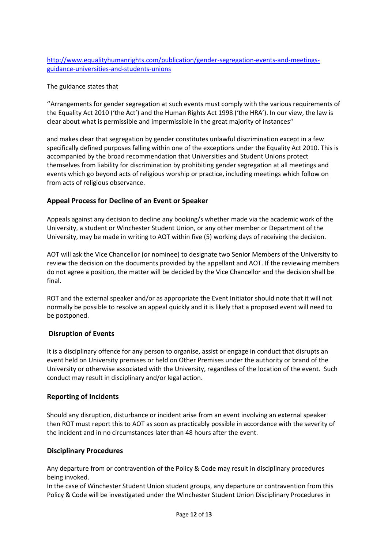[http://www.equalityhumanrights.com/publication/gender-segregation-events-and-meetings](http://www.equalityhumanrights.com/publication/gender-segregation-events-and-meetings-guidance-universities-and-students-unions)[guidance-universities-and-students-unions](http://www.equalityhumanrights.com/publication/gender-segregation-events-and-meetings-guidance-universities-and-students-unions)

The guidance states that

''Arrangements for gender segregation at such events must comply with the various requirements of the Equality Act 2010 ('the Act') and the Human Rights Act 1998 ('the HRA'). In our view, the law is clear about what is permissible and impermissible in the great majority of instances''

and makes clear that segregation by gender constitutes unlawful discrimination except in a few specifically defined purposes falling within one of the exceptions under the Equality Act 2010. This is accompanied by the broad recommendation that Universities and Student Unions protect themselves from liability for discrimination by prohibiting gender segregation at all meetings and events which go beyond acts of religious worship or practice, including meetings which follow on from acts of religious observance.

# **Appeal Process for Decline of an Event or Speaker**

Appeals against any decision to decline any booking/s whether made via the academic work of the University, a student or Winchester Student Union, or any other member or Department of the University, may be made in writing to AOT within five (5) working days of receiving the decision.

AOT will ask the Vice Chancellor (or nominee) to designate two Senior Members of the University to review the decision on the documents provided by the appellant and AOT. If the reviewing members do not agree a position, the matter will be decided by the Vice Chancellor and the decision shall be final.

ROT and the external speaker and/or as appropriate the Event Initiator should note that it will not normally be possible to resolve an appeal quickly and it is likely that a proposed event will need to be postponed.

## **Disruption of Events**

It is a disciplinary offence for any person to organise, assist or engage in conduct that disrupts an event held on University premises or held on Other Premises under the authority or brand of the University or otherwise associated with the University, regardless of the location of the event. Such conduct may result in disciplinary and/or legal action.

## **Reporting of Incidents**

Should any disruption, disturbance or incident arise from an event involving an external speaker then ROT must report this to AOT as soon as practicably possible in accordance with the severity of the incident and in no circumstances later than 48 hours after the event.

## **Disciplinary Procedures**

Any departure from or contravention of the Policy & Code may result in disciplinary procedures being invoked.

In the case of Winchester Student Union student groups, any departure or contravention from this Policy & Code will be investigated under the Winchester Student Union Disciplinary Procedures in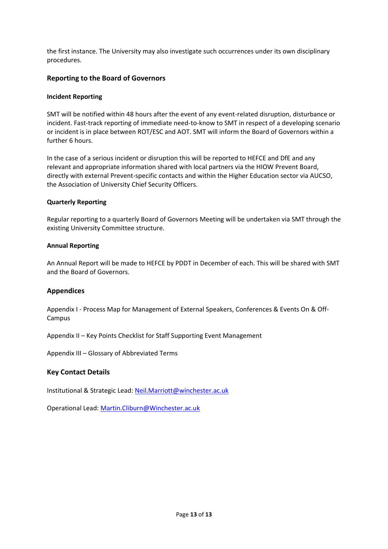the first instance. The University may also investigate such occurrences under its own disciplinary procedures.

#### **Reporting to the Board of Governors**

#### **Incident Reporting**

SMT will be notified within 48 hours after the event of any event-related disruption, disturbance or incident. Fast-track reporting of immediate need-to-know to SMT in respect of a developing scenario or incident is in place between ROT/ESC and AOT. SMT will inform the Board of Governors within a further 6 hours.

In the case of a serious incident or disruption this will be reported to HEFCE and DfE and any relevant and appropriate information shared with local partners via the HIOW Prevent Board, directly with external Prevent-specific contacts and within the Higher Education sector via AUCSO, the Association of University Chief Security Officers.

#### **Quarterly Reporting**

Regular reporting to a quarterly Board of Governors Meeting will be undertaken via SMT through the existing University Committee structure.

#### **Annual Reporting**

An Annual Report will be made to HEFCE by PDDT in December of each. This will be shared with SMT and the Board of Governors.

#### **Appendices**

Appendix I - Process Map for Management of External Speakers, Conferences & Events On & Off-Campus

Appendix II – Key Points Checklist for Staff Supporting Event Management

Appendix III – Glossary of Abbreviated Terms

#### **Key Contact Details**

Institutional & Strategic Lead: [Neil.Marriott@winchester.ac.uk](mailto:Neil.Marriott@winchester.ac.uk)

Operational Lead: [Martin.Cliburn@Winchester.ac.uk](mailto:Martin.Cliburn@Winchester.ac.uk)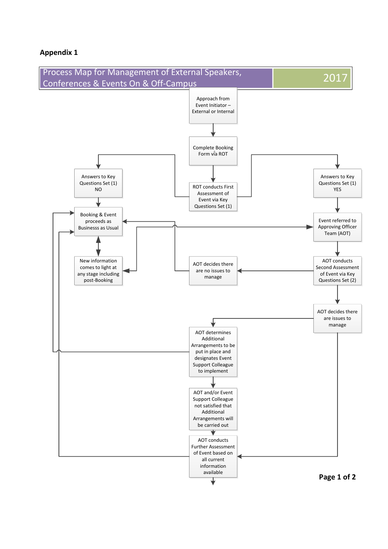## **Appendix 1**

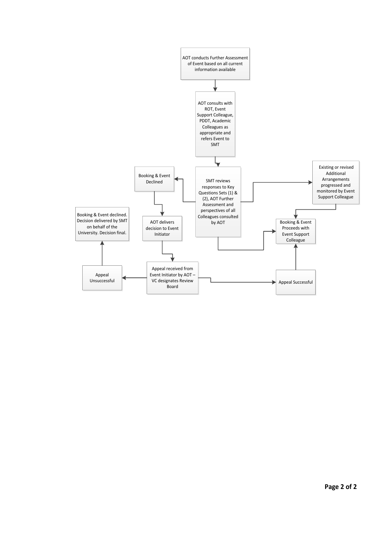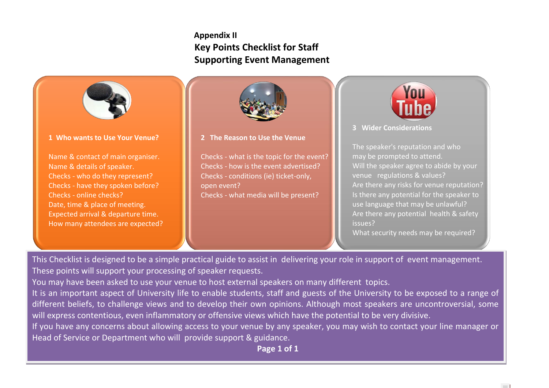# **Appendix II Key Points Checklist for Staff Supporting Event Management**



**1 Who wants to Use Your Venue?** 

Name & contact of main organiser. Name & details of speaker. Checks - who do they represent? Checks - have they spoken before? Checks - online checks? Date, time & place of meeting. Expected arrival & departure time. How many attendees are expected?



**2 The Reason to Use the Venue**

Checks - what is the topic for the event? Checks - how is the event advertised? Checks - conditions (ie) ticket-only, open event? Checks - what media will be present?



**<sup>3</sup> Wider Considerations**

The speaker's reputation and who may be prompted to attend. Will the speaker agree to abide by your venue regulations & values? Are there any risks for venue reputation? Is there any potential for the speaker to use language that may be unlawful? Are there any potential health & safety issues?

What security needs may be required?

**Contract** 

This Checklist is designed to be a simple practical guide to assist in delivering your role in support of event management. These points will support your processing of speaker requests.

You may have been asked to use your venue to host external speakers on many different topics.

It is an important aspect of University life to enable students, staff and guests of the University to be exposed to a range of different beliefs, to challenge views and to develop their own opinions. Although most speakers are uncontroversial, some will express contentious, even inflammatory or offensive views which have the potential to be very divisive.

If you have any concerns about allowing access to your venue by any speaker, you may wish to contact your line manager or Head of Service or Department who will provide support & guidance.

**Page 1 of 1**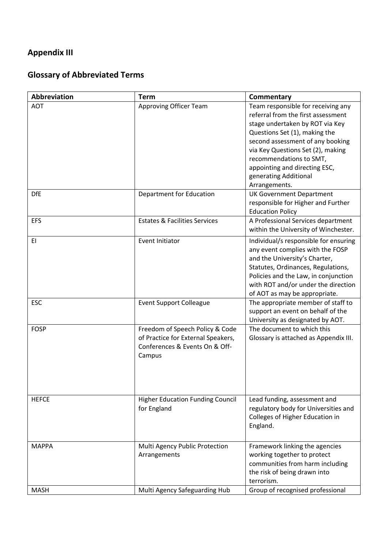# **Appendix III**

# **Glossary of Abbreviated Terms**

| Abbreviation             | <b>Term</b>                                                                                                       | Commentary                                                                                                                                                                                                                                                                                                                                                     |
|--------------------------|-------------------------------------------------------------------------------------------------------------------|----------------------------------------------------------------------------------------------------------------------------------------------------------------------------------------------------------------------------------------------------------------------------------------------------------------------------------------------------------------|
| <b>AOT</b><br><b>DfE</b> | Approving Officer Team<br>Department for Education                                                                | Team responsible for receiving any<br>referral from the first assessment<br>stage undertaken by ROT via Key<br>Questions Set (1), making the<br>second assessment of any booking<br>via Key Questions Set (2), making<br>recommendations to SMT,<br>appointing and directing ESC,<br>generating Additional<br>Arrangements.<br><b>UK Government Department</b> |
|                          |                                                                                                                   | responsible for Higher and Further<br><b>Education Policy</b>                                                                                                                                                                                                                                                                                                  |
| <b>EFS</b>               | <b>Estates &amp; Facilities Services</b>                                                                          | A Professional Services department<br>within the University of Winchester.                                                                                                                                                                                                                                                                                     |
| EI                       | Event Initiator                                                                                                   | Individual/s responsible for ensuring<br>any event complies with the FOSP<br>and the University's Charter,<br>Statutes, Ordinances, Regulations,<br>Policies and the Law, in conjunction<br>with ROT and/or under the direction<br>of AOT as may be appropriate.                                                                                               |
| <b>ESC</b>               | <b>Event Support Colleague</b>                                                                                    | The appropriate member of staff to<br>support an event on behalf of the<br>University as designated by AOT.                                                                                                                                                                                                                                                    |
| <b>FOSP</b>              | Freedom of Speech Policy & Code<br>of Practice for External Speakers,<br>Conferences & Events On & Off-<br>Campus | The document to which this<br>Glossary is attached as Appendix III.                                                                                                                                                                                                                                                                                            |
| <b>HEFCE</b>             | <b>Higher Education Funding Council</b><br>for England                                                            | Lead funding, assessment and<br>regulatory body for Universities and<br>Colleges of Higher Education in<br>England.                                                                                                                                                                                                                                            |
| <b>MAPPA</b>             | Multi Agency Public Protection<br>Arrangements                                                                    | Framework linking the agencies<br>working together to protect<br>communities from harm including<br>the risk of being drawn into<br>terrorism.                                                                                                                                                                                                                 |
| <b>MASH</b>              | Multi Agency Safeguarding Hub                                                                                     | Group of recognised professional                                                                                                                                                                                                                                                                                                                               |